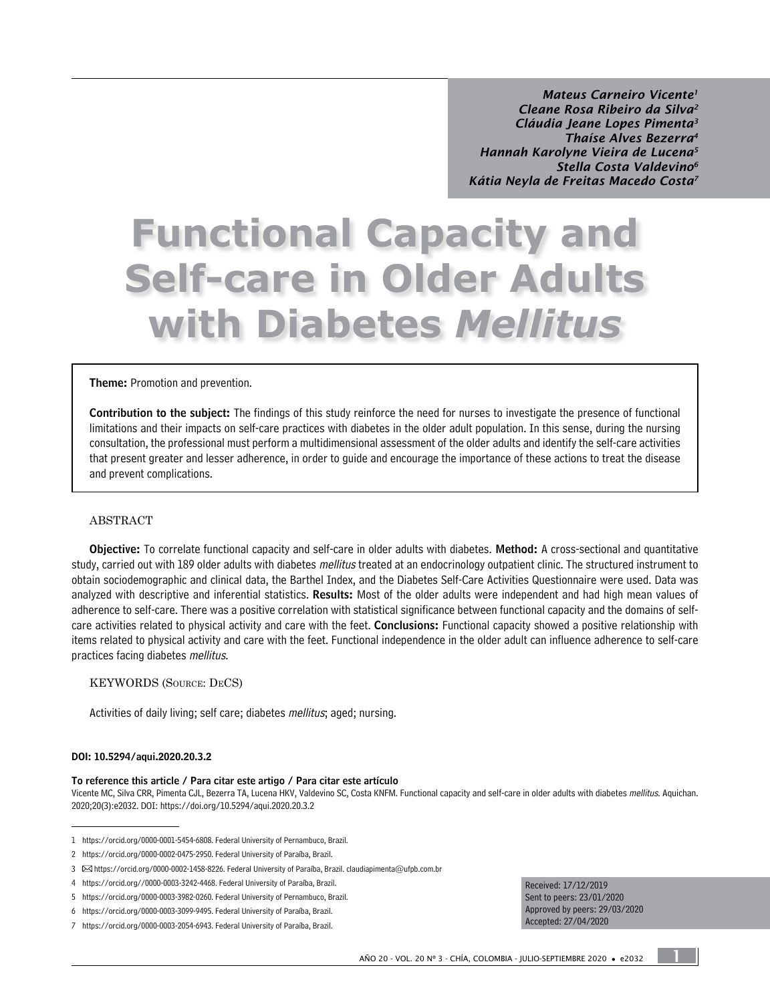*Mateus Carneiro Vicente1 Cleane Rosa Ribeiro da Silva2 Cláudia Jeane Lopes Pimenta3 Thaíse Alves Bezerra4 Hannah Karolyne Vieira de Lucena5 Stella Costa Valdevino6 Kátia Neyla de Freitas Macedo Costa7*

# **Functional Capacity and Self-care in Older Adults with Diabetes** *Mellitus*

Theme: Promotion and prevention.

Contribution to the subject: The findings of this study reinforce the need for nurses to investigate the presence of functional limitations and their impacts on self-care practices with diabetes in the older adult population. In this sense, during the nursing consultation, the professional must perform a multidimensional assessment of the older adults and identify the self-care activities that present greater and lesser adherence, in order to guide and encourage the importance of these actions to treat the disease and prevent complications.

#### ABSTRACT

Objective: To correlate functional capacity and self-care in older adults with diabetes. Method: A cross-sectional and quantitative study, carried out with 189 older adults with diabetes *mellitus* treated at an endocrinology outpatient clinic. The structured instrument to obtain sociodemographic and clinical data, the Barthel Index, and the Diabetes Self-Care Activities Questionnaire were used. Data was analyzed with descriptive and inferential statistics. Results: Most of the older adults were independent and had high mean values of adherence to self-care. There was a positive correlation with statistical significance between functional capacity and the domains of selfcare activities related to physical activity and care with the feet. Conclusions: Functional capacity showed a positive relationship with items related to physical activity and care with the feet. Functional independence in the older adult can influence adherence to self-care practices facing diabetes mellitus.

#### KEYWORDS (Source: DeCS)

Activities of daily living; self care; diabetes mellitus; aged; nursing.

#### DOI: [10.5294/aqui.2020.20.3.2](https://doi.org/10.5294/aqui.2020.20.3.2)

#### To reference this article / Para citar este artigo / Para citar este artículo

[Vicente MC](https://orcid.org/0000-0001-5454-6808), [Silva CRR](https://orcid.org/0000-0002-0475-2950), [Pimenta CJL,](https://orcid.org/0000-0002-1458-8226) [Bezerra TA](https://orcid.org/0000-0003-3242-4468), [Lucena HKV](https://orcid.org/0000-0003-3982-0260), [Valdevino SC](https://orcid.org/0000-0003-3099-9495), [Costa KNFM](https://orcid.org/0000-0003-2054-6943). Functional capacity and self-care in older adults with diabetes mellitus. Aquichan. 2020;20(3):e2032. DOI: <https://doi.org/10.5294/aqui.2020.20.3.2>

Received: 17/12/2019 Sent to peers: 23/01/2020 Approved by peers: 29/03/2020 Accepted: 27/04/2020

1

<sup>1</sup> https://orcid.org/0000-0001-5454-6808. Federal University of Pernambuco, Brazil.

<sup>2</sup> https://orcid.org/0000-0002-0475-2950. Federal University of Paraíba, Brazil.

<sup>3</sup> https://orcid.org/0000-0002-1458-8226. Federal University of Paraíba, Brazil. [claudiapimenta@ufpb.com.br](mailto:claudiapimenta@ufpb.com.br)

<sup>4</sup> https://orcid.org//0000-0003-3242-4468. Federal University of Paraíba, Brazil.

<sup>5</sup> https://orcid.org/0000-0003-3982-0260. Federal University of Pernambuco, Brazil.

<sup>6</sup> https://orcid.org/0000-0003-3099-9495. Federal University of Paraíba, Brazil.

<sup>7</sup> https://orcid.org/0000-0003-2054-6943. Federal University of Paraíba, Brazil.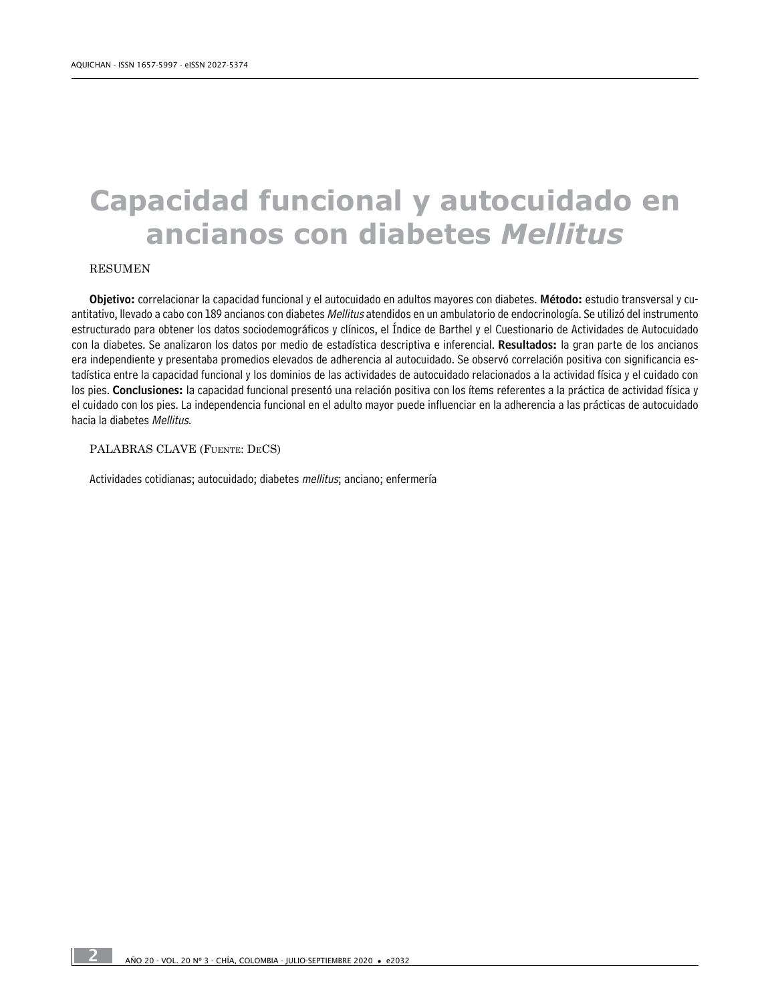# **Capacidad funcional y autocuidado en ancianos con diabetes** *Mellitus*

#### RESUMEN

Objetivo: correlacionar la capacidad funcional y el autocuidado en adultos mayores con diabetes. Método: estudio transversal y cuantitativo, llevado a cabo con 189 ancianos con diabetes Mellitus atendidos en un ambulatorio de endocrinología. Se utilizó del instrumento estructurado para obtener los datos sociodemográficos y clínicos, el Índice de Barthel y el Cuestionario de Actividades de Autocuidado con la diabetes. Se analizaron los datos por medio de estadística descriptiva e inferencial. Resultados: la gran parte de los ancianos era independiente y presentaba promedios elevados de adherencia al autocuidado. Se observó correlación positiva con significancia estadística entre la capacidad funcional y los dominios de las actividades de autocuidado relacionados a la actividad física y el cuidado con los pies. Conclusiones: la capacidad funcional presentó una relación positiva con los ítems referentes a la práctica de actividad física y el cuidado con los pies. La independencia funcional en el adulto mayor puede influenciar en la adherencia a las prácticas de autocuidado hacia la diabetes Mellitus.

PALABRAS CLAVE (Fuente: DeCS)

Actividades cotidianas; autocuidado; diabetes mellitus; anciano; enfermería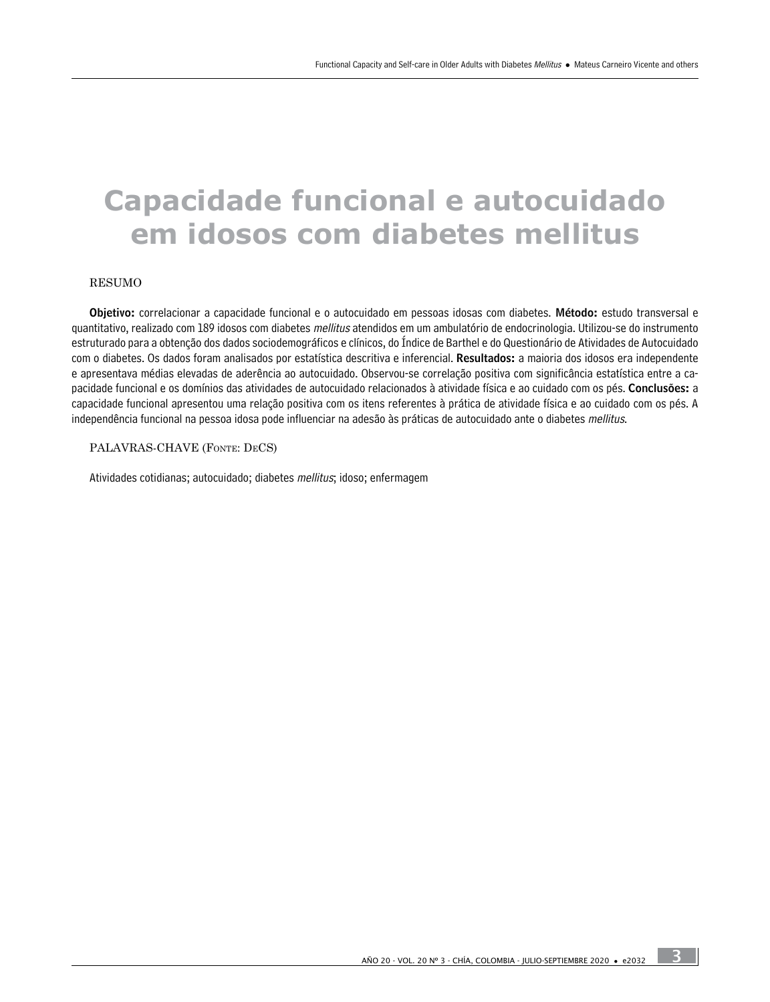# **Capacidade funcional e autocuidado em idosos com diabetes mellitus**

#### RESUMO

Objetivo: correlacionar a capacidade funcional e o autocuidado em pessoas idosas com diabetes. Método: estudo transversal e quantitativo, realizado com 189 idosos com diabetes *mellitus* atendidos em um ambulatório de endocrinologia. Utilizou-se do instrumento estruturado para a obtenção dos dados sociodemográficos e clínicos, do Índice de Barthel e do Questionário de Atividades de Autocuidado com o diabetes. Os dados foram analisados por estatística descritiva e inferencial. Resultados: a maioria dos idosos era independente e apresentava médias elevadas de aderência ao autocuidado. Observou-se correlação positiva com significância estatística entre a capacidade funcional e os domínios das atividades de autocuidado relacionados à atividade física e ao cuidado com os pés. Conclusões: a capacidade funcional apresentou uma relação positiva com os itens referentes à prática de atividade física e ao cuidado com os pés. A independência funcional na pessoa idosa pode influenciar na adesão às práticas de autocuidado ante o diabetes mellitus.

#### PALAVRAS-CHAVE (Fonte: DeCS)

Atividades cotidianas; autocuidado; diabetes mellitus; idoso; enfermagem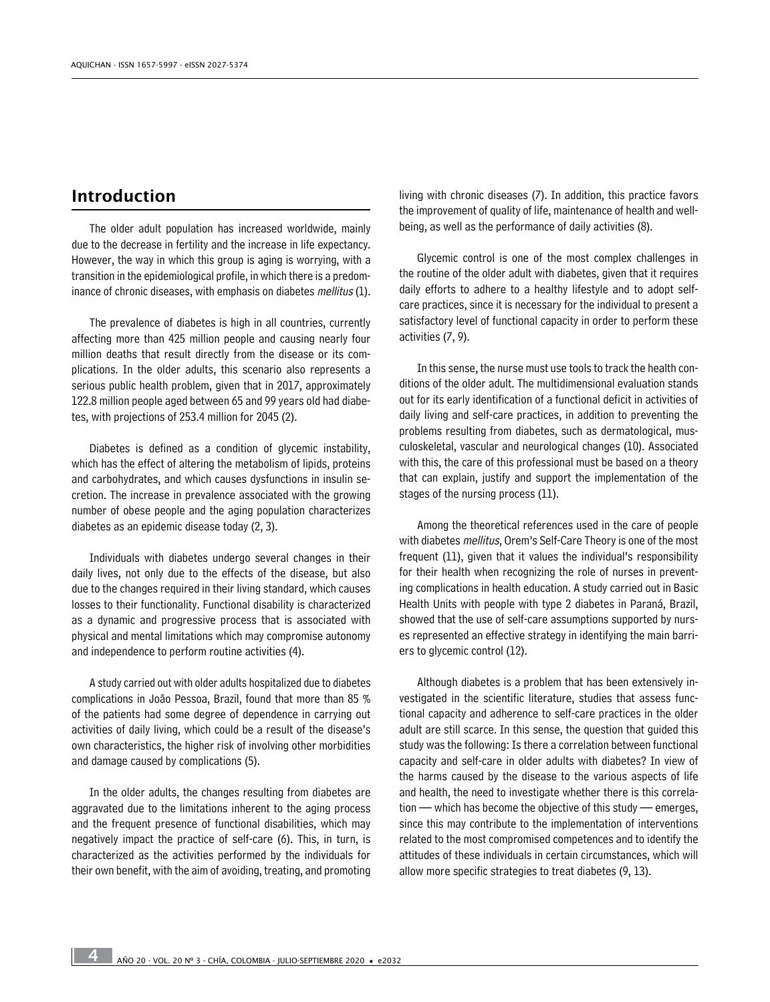# Introduction

The older adult population has increased worldwide, mainly due to the decrease in fertility and the increase in life expectancy. However, the way in which this group is aging is worrying, with a transition in the epidemiological profile, in which there is a predominance of chronic diseases, with emphasis on diabetes mellitus (1).

The prevalence of diabetes is high in all countries, currently affecting more than 425 million people and causing nearly four million deaths that result directly from the disease or its complications. In the older adults, this scenario also represents a serious public health problem, given that in 2017, approximately 122.8 million people aged between 65 and 99 years old had diabetes, with projections of 253.4 million for 2045 (2).

Diabetes is defined as a condition of glycemic instability, which has the effect of altering the metabolism of lipids, proteins and carbohydrates, and which causes dysfunctions in insulin secretion. The increase in prevalence associated with the growing number of obese people and the aging population characterizes diabetes as an epidemic disease today (2, 3).

Individuals with diabetes undergo several changes in their daily lives, not only due to the effects of the disease, but also due to the changes required in their living standard, which causes losses to their functionality. Functional disability is characterized as a dynamic and progressive process that is associated with physical and mental limitations which may compromise autonomy and independence to perform routine activities (4).

A study carried out with older adults hospitalized due to diabetes complications in João Pessoa, Brazil, found that more than 85 % of the patients had some degree of dependence in carrying out activities of daily living, which could be a result of the disease's own characteristics, the higher risk of involving other morbidities and damage caused by complications (5).

In the older adults, the changes resulting from diabetes are aggravated due to the limitations inherent to the aging process and the frequent presence of functional disabilities, which may negatively impact the practice of self-care (6). This, in turn, is characterized as the activities performed by the individuals for their own benefit, with the aim of avoiding, treating, and promoting living with chronic diseases (7). In addition, this practice favors the improvement of quality of life, maintenance of health and wellbeing, as well as the performance of daily activities (8).

Glycemic control is one of the most complex challenges in the routine of the older adult with diabetes, given that it requires daily efforts to adhere to a healthy lifestyle and to adopt selfcare practices, since it is necessary for the individual to present a satisfactory level of functional capacity in order to perform these activities (7, 9).

In this sense, the nurse must use tools to track the health conditions of the older adult. The multidimensional evaluation stands out for its early identification of a functional deficit in activities of daily living and self-care practices, in addition to preventing the problems resulting from diabetes, such as dermatological, musculoskeletal, vascular and neurological changes (10). Associated with this, the care of this professional must be based on a theory that can explain, justify and support the implementation of the stages of the nursing process (11).

Among the theoretical references used in the care of people with diabetes *mellitus*, Orem's Self-Care Theory is one of the most frequent (11), given that it values the individual's responsibility for their health when recognizing the role of nurses in preventing complications in health education. A study carried out in Basic Health Units with people with type 2 diabetes in Paraná, Brazil, showed that the use of self-care assumptions supported by nurses represented an effective strategy in identifying the main barriers to glycemic control (12).

Although diabetes is a problem that has been extensively investigated in the scientific literature, studies that assess functional capacity and adherence to self-care practices in the older adult are still scarce. In this sense, the question that guided this study was the following: Is there a correlation between functional capacity and self-care in older adults with diabetes? In view of the harms caused by the disease to the various aspects of life and health, the need to investigate whether there is this correlation — which has become the objective of this study — emerges, since this may contribute to the implementation of interventions related to the most compromised competences and to identify the attitudes of these individuals in certain circumstances, which will allow more specific strategies to treat diabetes (9, 13).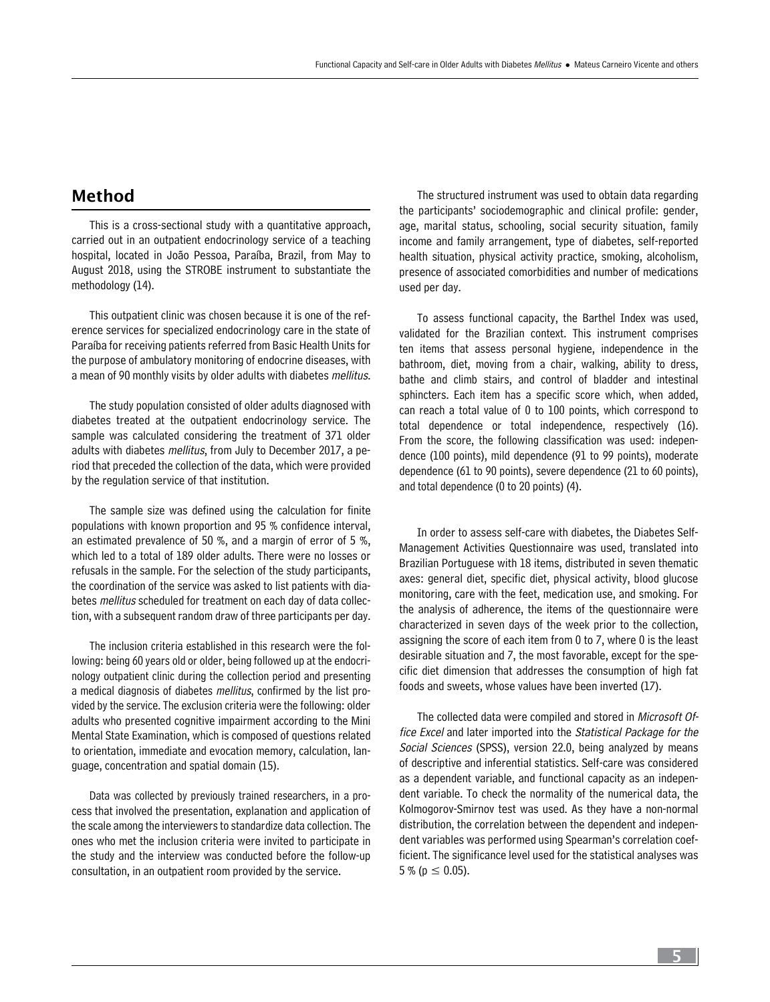# Method

This is a cross-sectional study with a quantitative approach, carried out in an outpatient endocrinology service of a teaching hospital, located in João Pessoa, Paraíba, Brazil, from May to August 2018, using the STROBE instrument to substantiate the methodology (14).

This outpatient clinic was chosen because it is one of the reference services for specialized endocrinology care in the state of Paraíba for receiving patients referred from Basic Health Units for the purpose of ambulatory monitoring of endocrine diseases, with a mean of 90 monthly visits by older adults with diabetes mellitus.

The study population consisted of older adults diagnosed with diabetes treated at the outpatient endocrinology service. The sample was calculated considering the treatment of 371 older adults with diabetes *mellitus*, from July to December 2017, a period that preceded the collection of the data, which were provided by the regulation service of that institution.

The sample size was defined using the calculation for finite populations with known proportion and 95 % confidence interval, an estimated prevalence of 50 %, and a margin of error of 5 %, which led to a total of 189 older adults. There were no losses or refusals in the sample. For the selection of the study participants, the coordination of the service was asked to list patients with diabetes *mellitus* scheduled for treatment on each day of data collection, with a subsequent random draw of three participants per day.

The inclusion criteria established in this research were the following: being 60 years old or older, being followed up at the endocrinology outpatient clinic during the collection period and presenting a medical diagnosis of diabetes *mellitus*, confirmed by the list provided by the service. The exclusion criteria were the following: older adults who presented cognitive impairment according to the Mini Mental State Examination, which is composed of questions related to orientation, immediate and evocation memory, calculation, language, concentration and spatial domain (15).

Data was collected by previously trained researchers, in a process that involved the presentation, explanation and application of the scale among the interviewers to standardize data collection. The ones who met the inclusion criteria were invited to participate in the study and the interview was conducted before the follow-up consultation, in an outpatient room provided by the service.

The structured instrument was used to obtain data regarding the participants' sociodemographic and clinical profile: gender, age, marital status, schooling, social security situation, family income and family arrangement, type of diabetes, self-reported health situation, physical activity practice, smoking, alcoholism, presence of associated comorbidities and number of medications used per day.

To assess functional capacity, the Barthel Index was used, validated for the Brazilian context. This instrument comprises ten items that assess personal hygiene, independence in the bathroom, diet, moving from a chair, walking, ability to dress, bathe and climb stairs, and control of bladder and intestinal sphincters. Each item has a specific score which, when added, can reach a total value of 0 to 100 points, which correspond to total dependence or total independence, respectively (16). From the score, the following classification was used: independence (100 points), mild dependence (91 to 99 points), moderate dependence (61 to 90 points), severe dependence (21 to 60 points), and total dependence (0 to 20 points) (4).

In order to assess self-care with diabetes, the Diabetes Self-Management Activities Questionnaire was used, translated into Brazilian Portuguese with 18 items, distributed in seven thematic axes: general diet, specific diet, physical activity, blood glucose monitoring, care with the feet, medication use, and smoking. For the analysis of adherence, the items of the questionnaire were characterized in seven days of the week prior to the collection, assigning the score of each item from 0 to 7, where 0 is the least desirable situation and 7, the most favorable, except for the specific diet dimension that addresses the consumption of high fat foods and sweets, whose values have been inverted (17).

The collected data were compiled and stored in Microsoft Office Excel and later imported into the Statistical Package for the Social Sciences (SPSS), version 22.0, being analyzed by means of descriptive and inferential statistics. Self-care was considered as a dependent variable, and functional capacity as an independent variable. To check the normality of the numerical data, the Kolmogorov-Smirnov test was used. As they have a non-normal distribution, the correlation between the dependent and independent variables was performed using Spearman's correlation coefficient. The significance level used for the statistical analyses was  $5\%$  (p  $\leq$  0.05).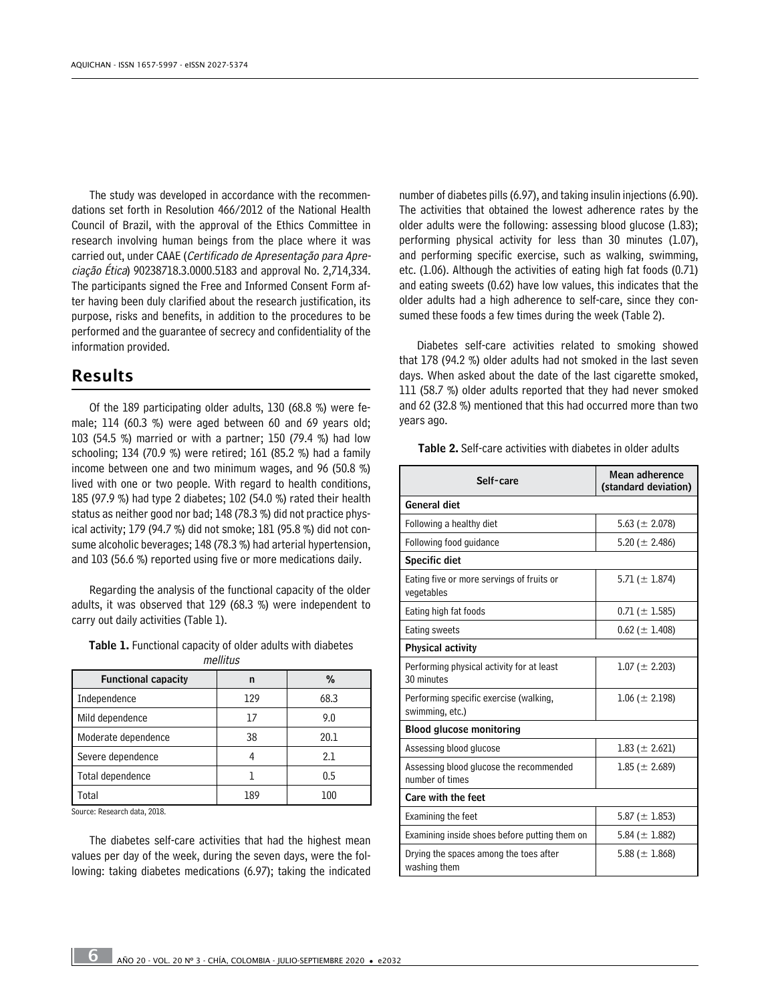The study was developed in accordance with the recommendations set forth in Resolution 466/2012 of the National Health Council of Brazil, with the approval of the Ethics Committee in research involving human beings from the place where it was carried out, under CAAE (Certificado de Apresentação para Apreciação Ética) 90238718.3.0000.5183 and approval No. 2,714,334. The participants signed the Free and Informed Consent Form after having been duly clarified about the research justification, its purpose, risks and benefits, in addition to the procedures to be performed and the guarantee of secrecy and confidentiality of the information provided.

### Results

Of the 189 participating older adults, 130 (68.8 %) were female; 114 (60.3 %) were aged between 60 and 69 years old; 103 (54.5 %) married or with a partner; 150 (79.4 %) had low schooling; 134 (70.9 %) were retired; 161 (85.2 %) had a family income between one and two minimum wages, and 96 (50.8 %) lived with one or two people. With regard to health conditions, 185 (97.9 %) had type 2 diabetes; 102 (54.0 %) rated their health status as neither good nor bad; 148 (78.3 %) did not practice physical activity; 179 (94.7 %) did not smoke; 181 (95.8 %) did not consume alcoholic beverages; 148 (78.3 %) had arterial hypertension, and 103 (56.6 %) reported using five or more medications daily.

Regarding the analysis of the functional capacity of the older adults, it was observed that 129 (68.3 %) were independent to carry out daily activities (Table 1).

| <b>Table 1.</b> Functional capacity of older adults with diabetes |          |  |  |
|-------------------------------------------------------------------|----------|--|--|
|                                                                   | mellitus |  |  |

| <b>Functional capacity</b> | n   | %    |
|----------------------------|-----|------|
| Independence               | 129 | 68.3 |
| Mild dependence            | 17  | 9.0  |
| Moderate dependence        | 38  | 20.1 |
| Severe dependence          |     | 2.1  |
| Total dependence           |     | 0.5  |
| Total                      | 189 | 100  |

Source: Research data, 2018.

The diabetes self-care activities that had the highest mean values per day of the week, during the seven days, were the following: taking diabetes medications (6.97); taking the indicated number of diabetes pills (6.97), and taking insulin injections (6.90). The activities that obtained the lowest adherence rates by the older adults were the following: assessing blood glucose (1.83); performing physical activity for less than 30 minutes (1.07), and performing specific exercise, such as walking, swimming, etc. (1.06). Although the activities of eating high fat foods (0.71) and eating sweets (0.62) have low values, this indicates that the older adults had a high adherence to self-care, since they consumed these foods a few times during the week (Table 2).

Diabetes self-care activities related to smoking showed that 178 (94.2 %) older adults had not smoked in the last seven days. When asked about the date of the last cigarette smoked, 111 (58.7 %) older adults reported that they had never smoked and 62 (32.8 %) mentioned that this had occurred more than two years ago.

Table 2. Self-care activities with diabetes in older adults

| Self-care                                                  | Mean adherence<br>(standard deviation) |  |
|------------------------------------------------------------|----------------------------------------|--|
| General diet                                               |                                        |  |
| Following a healthy diet                                   | 5.63 ( $\pm$ 2.078)                    |  |
| Following food guidance                                    | 5.20 ( $\pm$ 2.486)                    |  |
| <b>Specific diet</b>                                       |                                        |  |
| Eating five or more servings of fruits or<br>vegetables    | 5.71 ( $\pm$ 1.874)                    |  |
| Eating high fat foods                                      | $0.71 (\pm 1.585)$                     |  |
| Eating sweets                                              | $0.62 (\pm 1.408)$                     |  |
| <b>Physical activity</b>                                   |                                        |  |
| Performing physical activity for at least<br>30 minutes    | $1.07 (\pm 2.203)$                     |  |
| Performing specific exercise (walking,<br>swimming, etc.)  | $1.06 (\pm 2.198)$                     |  |
| <b>Blood glucose monitoring</b>                            |                                        |  |
| Assessing blood glucose                                    | $1.83 \ (\pm 2.621)$                   |  |
| Assessing blood glucose the recommended<br>number of times | $1.85 (\pm 2.689)$                     |  |
| Care with the feet                                         |                                        |  |
| Examining the feet                                         | 5.87 ( $\pm$ 1.853)                    |  |
| Examining inside shoes before putting them on              | 5.84 ( $\pm$ 1.882)                    |  |
| Drying the spaces among the toes after<br>washing them     | 5.88 ( $\pm$ 1.868)                    |  |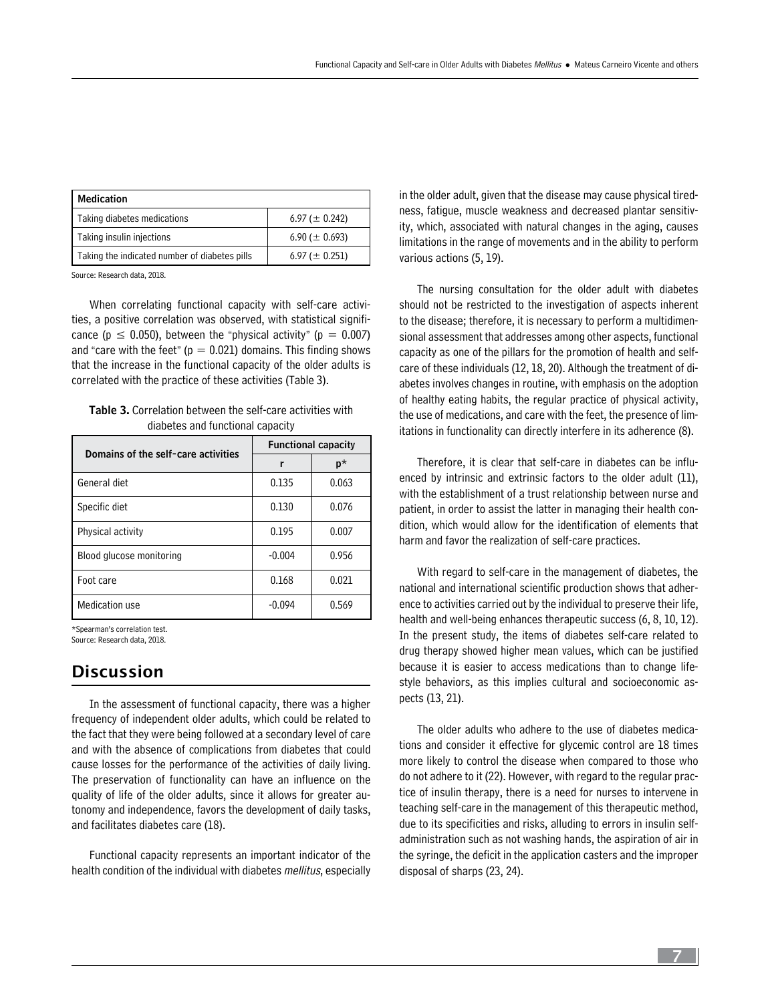| Medication                                    |                     |  |  |  |
|-----------------------------------------------|---------------------|--|--|--|
| Taking diabetes medications                   | 6.97 ( $\pm$ 0.242) |  |  |  |
| Taking insulin injections                     | 6.90 ( $\pm$ 0.693) |  |  |  |
| Taking the indicated number of diabetes pills | 6.97 ( $\pm$ 0.251) |  |  |  |

Source: Research data, 2018.

When correlating functional capacity with self-care activities, a positive correlation was observed, with statistical significance ( $p \le 0.050$ ), between the "physical activity" ( $p = 0.007$ ) and "care with the feet" ( $p = 0.021$ ) domains. This finding shows that the increase in the functional capacity of the older adults is correlated with the practice of these activities (Table 3).

| <b>Table 3.</b> Correlation between the self-care activities with |
|-------------------------------------------------------------------|
| diabetes and functional capacity                                  |

| Domains of the self-care activities | <b>Functional capacity</b> |       |  |
|-------------------------------------|----------------------------|-------|--|
|                                     | r                          | p*    |  |
| General diet                        | 0.135                      | 0.063 |  |
| Specific diet                       | 0.130                      | 0.076 |  |
| Physical activity                   | 0.195                      | 0.007 |  |
| Blood glucose monitoring            | $-0.004$                   | 0.956 |  |
| Foot care                           | 0.168                      | 0.021 |  |
| Medication use                      | $-0.094$                   | 0.569 |  |

\*Spearman's correlation test.

Source: Research data, 2018.

# Discussion

In the assessment of functional capacity, there was a higher frequency of independent older adults, which could be related to the fact that they were being followed at a secondary level of care and with the absence of complications from diabetes that could cause losses for the performance of the activities of daily living. The preservation of functionality can have an influence on the quality of life of the older adults, since it allows for greater autonomy and independence, favors the development of daily tasks, and facilitates diabetes care (18).

Functional capacity represents an important indicator of the health condition of the individual with diabetes *mellitus*, especially in the older adult, given that the disease may cause physical tiredness, fatigue, muscle weakness and decreased plantar sensitivity, which, associated with natural changes in the aging, causes limitations in the range of movements and in the ability to perform various actions (5, 19).

The nursing consultation for the older adult with diabetes should not be restricted to the investigation of aspects inherent to the disease; therefore, it is necessary to perform a multidimensional assessment that addresses among other aspects, functional capacity as one of the pillars for the promotion of health and selfcare of these individuals (12, 18, 20). Although the treatment of diabetes involves changes in routine, with emphasis on the adoption of healthy eating habits, the regular practice of physical activity, the use of medications, and care with the feet, the presence of limitations in functionality can directly interfere in its adherence (8).

Therefore, it is clear that self-care in diabetes can be influenced by intrinsic and extrinsic factors to the older adult (11), with the establishment of a trust relationship between nurse and patient, in order to assist the latter in managing their health condition, which would allow for the identification of elements that harm and favor the realization of self-care practices.

With regard to self-care in the management of diabetes, the national and international scientific production shows that adherence to activities carried out by the individual to preserve their life, health and well-being enhances therapeutic success (6, 8, 10, 12). In the present study, the items of diabetes self-care related to drug therapy showed higher mean values, which can be justified because it is easier to access medications than to change lifestyle behaviors, as this implies cultural and socioeconomic aspects (13, 21).

The older adults who adhere to the use of diabetes medications and consider it effective for glycemic control are 18 times more likely to control the disease when compared to those who do not adhere to it (22). However, with regard to the regular practice of insulin therapy, there is a need for nurses to intervene in teaching self-care in the management of this therapeutic method, due to its specificities and risks, alluding to errors in insulin selfadministration such as not washing hands, the aspiration of air in the syringe, the deficit in the application casters and the improper disposal of sharps (23, 24).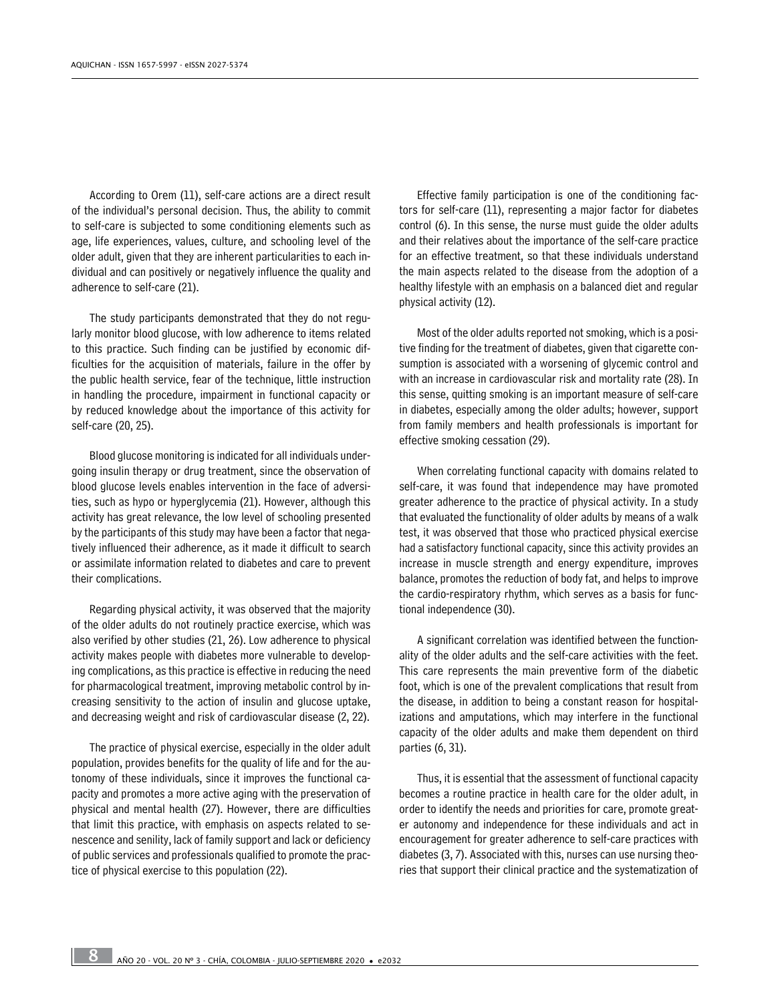According to Orem (11), self-care actions are a direct result of the individual's personal decision. Thus, the ability to commit to self-care is subjected to some conditioning elements such as age, life experiences, values, culture, and schooling level of the older adult, given that they are inherent particularities to each individual and can positively or negatively influence the quality and adherence to self-care (21).

The study participants demonstrated that they do not regularly monitor blood glucose, with low adherence to items related to this practice. Such finding can be justified by economic difficulties for the acquisition of materials, failure in the offer by the public health service, fear of the technique, little instruction in handling the procedure, impairment in functional capacity or by reduced knowledge about the importance of this activity for self-care (20, 25).

Blood glucose monitoring is indicated for all individuals undergoing insulin therapy or drug treatment, since the observation of blood glucose levels enables intervention in the face of adversities, such as hypo or hyperglycemia (21). However, although this activity has great relevance, the low level of schooling presented by the participants of this study may have been a factor that negatively influenced their adherence, as it made it difficult to search or assimilate information related to diabetes and care to prevent their complications.

Regarding physical activity, it was observed that the majority of the older adults do not routinely practice exercise, which was also verified by other studies (21, 26). Low adherence to physical activity makes people with diabetes more vulnerable to developing complications, as this practice is effective in reducing the need for pharmacological treatment, improving metabolic control by increasing sensitivity to the action of insulin and glucose uptake, and decreasing weight and risk of cardiovascular disease (2, 22).

The practice of physical exercise, especially in the older adult population, provides benefits for the quality of life and for the autonomy of these individuals, since it improves the functional capacity and promotes a more active aging with the preservation of physical and mental health (27). However, there are difficulties that limit this practice, with emphasis on aspects related to senescence and senility, lack of family support and lack or deficiency of public services and professionals qualified to promote the practice of physical exercise to this population (22).

Effective family participation is one of the conditioning factors for self-care (11), representing a major factor for diabetes control (6). In this sense, the nurse must guide the older adults and their relatives about the importance of the self-care practice for an effective treatment, so that these individuals understand the main aspects related to the disease from the adoption of a healthy lifestyle with an emphasis on a balanced diet and regular physical activity (12).

Most of the older adults reported not smoking, which is a positive finding for the treatment of diabetes, given that cigarette consumption is associated with a worsening of glycemic control and with an increase in cardiovascular risk and mortality rate (28). In this sense, quitting smoking is an important measure of self-care in diabetes, especially among the older adults; however, support from family members and health professionals is important for effective smoking cessation (29).

When correlating functional capacity with domains related to self-care, it was found that independence may have promoted greater adherence to the practice of physical activity. In a study that evaluated the functionality of older adults by means of a walk test, it was observed that those who practiced physical exercise had a satisfactory functional capacity, since this activity provides an increase in muscle strength and energy expenditure, improves balance, promotes the reduction of body fat, and helps to improve the cardio-respiratory rhythm, which serves as a basis for functional independence (30).

A significant correlation was identified between the functionality of the older adults and the self-care activities with the feet. This care represents the main preventive form of the diabetic foot, which is one of the prevalent complications that result from the disease, in addition to being a constant reason for hospitalizations and amputations, which may interfere in the functional capacity of the older adults and make them dependent on third parties (6, 31).

Thus, it is essential that the assessment of functional capacity becomes a routine practice in health care for the older adult, in order to identify the needs and priorities for care, promote greater autonomy and independence for these individuals and act in encouragement for greater adherence to self-care practices with diabetes (3, 7). Associated with this, nurses can use nursing theories that support their clinical practice and the systematization of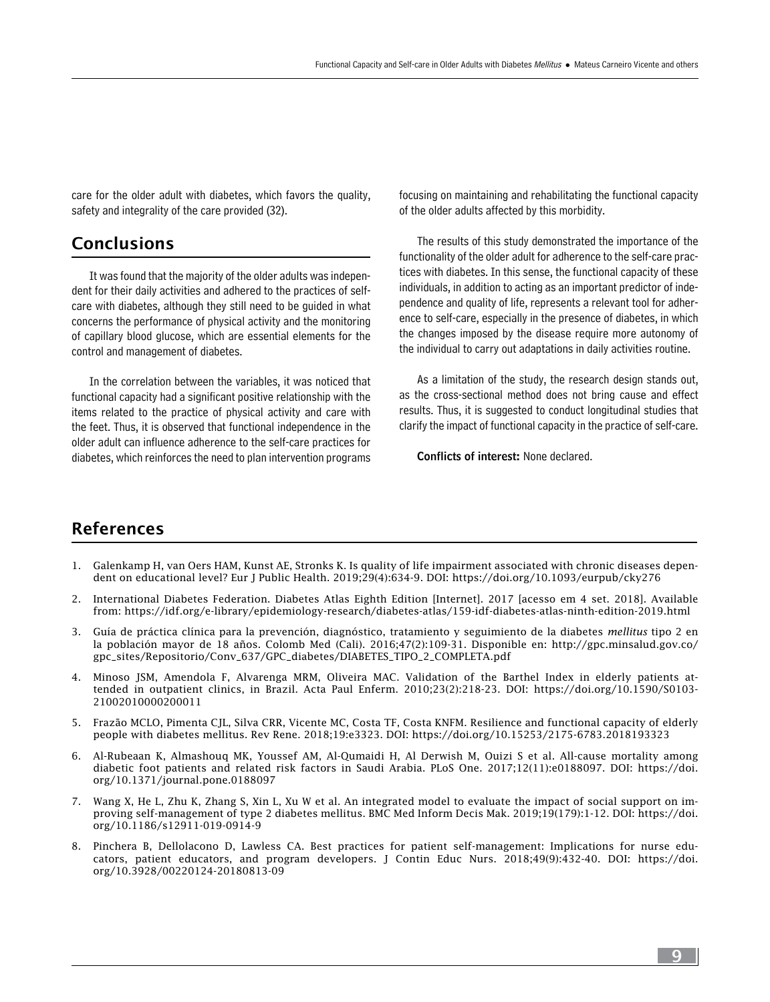care for the older adult with diabetes, which favors the quality, safety and integrality of the care provided (32).

### Conclusions

It was found that the majority of the older adults was independent for their daily activities and adhered to the practices of selfcare with diabetes, although they still need to be guided in what concerns the performance of physical activity and the monitoring of capillary blood glucose, which are essential elements for the control and management of diabetes.

In the correlation between the variables, it was noticed that functional capacity had a significant positive relationship with the items related to the practice of physical activity and care with the feet. Thus, it is observed that functional independence in the older adult can influence adherence to the self-care practices for diabetes, which reinforces the need to plan intervention programs focusing on maintaining and rehabilitating the functional capacity of the older adults affected by this morbidity.

The results of this study demonstrated the importance of the functionality of the older adult for adherence to the self-care practices with diabetes. In this sense, the functional capacity of these individuals, in addition to acting as an important predictor of independence and quality of life, represents a relevant tool for adherence to self-care, especially in the presence of diabetes, in which the changes imposed by the disease require more autonomy of the individual to carry out adaptations in daily activities routine.

As a limitation of the study, the research design stands out, as the cross-sectional method does not bring cause and effect results. Thus, it is suggested to conduct longitudinal studies that clarify the impact of functional capacity in the practice of self-care.

Conflicts of interest: None declared.

# References

- 1. Galenkamp H, van Oers HAM, Kunst AE, Stronks K. Is quality of life impairment associated with chronic diseases dependent on educational level? Eur J Public Health. 2019;29(4):634-9. DOI: <https://doi.org/10.1093/eurpub/cky276>
- 2. International Diabetes Federation. Diabetes Atlas Eighth Edition [Internet]. 2017 [acesso em 4 set. 2018]. Available from: <https://idf.org/e-library/epidemiology-research/diabetes-atlas/159-idf-diabetes-atlas-ninth-edition-2019.html>
- 3. Guía de práctica clínica para la prevención, diagnóstico, tratamiento y seguimiento de la diabetes *mellitus* tipo 2 en la población mayor de 18 años. Colomb Med (Cali). 2016;47(2):109-31. Disponible en: [http://gpc.minsalud.gov.co/](http://gpc.minsalud.gov.co/gpc_sites/Repositorio/Conv_637/GPC_diabetes/DIABETES_TIPO_2_COMPLETA.pdf) [gpc\\_sites/Repositorio/Conv\\_637/GPC\\_diabetes/DIABETES\\_TIPO\\_2\\_COMPLETA.pdf](http://gpc.minsalud.gov.co/gpc_sites/Repositorio/Conv_637/GPC_diabetes/DIABETES_TIPO_2_COMPLETA.pdf)
- 4. Minoso JSM, Amendola F, Alvarenga MRM, Oliveira MAC. Validation of the Barthel Index in elderly patients attended in outpatient clinics, in Brazil. Acta Paul Enferm. 2010;23(2):218-23. DOI: [https://doi.org/10.1590/S0103-](https://doi.org/10.1590/S0103-21002010000200011) [21002010000200011](https://doi.org/10.1590/S0103-21002010000200011)
- 5. Frazão MCLO, Pimenta CJL, Silva CRR, Vicente MC, Costa TF, Costa KNFM. Resilience and functional capacity of elderly people with diabetes mellitus. Rev Rene. 2018;19:e3323. DOI:<https://doi.org/10.15253/2175-6783.2018193323>
- 6. Al-Rubeaan K, Almashouq MK, Youssef AM, Al-Qumaidi H, Al Derwish M, Ouizi S et al. All-cause mortality among diabetic foot patients and related risk factors in Saudi Arabia. PLoS One. 2017;12(11):e0188097. DOI: [https://doi.](file:///F:/TEMPORAL/71/journal.pone.0188097) [org/10.1371/journal.pone.0188097](file:///F:/TEMPORAL/71/journal.pone.0188097)
- 7. Wang X, He L, Zhu K, Zhang S, Xin L, Xu W et al. An integrated model to evaluate the impact of social support on improving self-management of type 2 diabetes mellitus. BMC Med Inform Decis Mak. 2019;19(179):1-12. DOI: [https://doi.](https://doi.org/10.1186/s12911-019-0914-9) [org/10.1186/s12911-019-0914-9](https://doi.org/10.1186/s12911-019-0914-9)
- 8. Pinchera B, Dellolacono D, Lawless CA. Best practices for patient self-management: Implications for nurse educators, patient educators, and program developers. J Contin Educ Nurs. 2018;49(9):432-40. DOI: [https://doi.](https://doi.org/10.3928/00220124-20180813-09) [org/10.3928/00220124-20180813-09](https://doi.org/10.3928/00220124-20180813-09)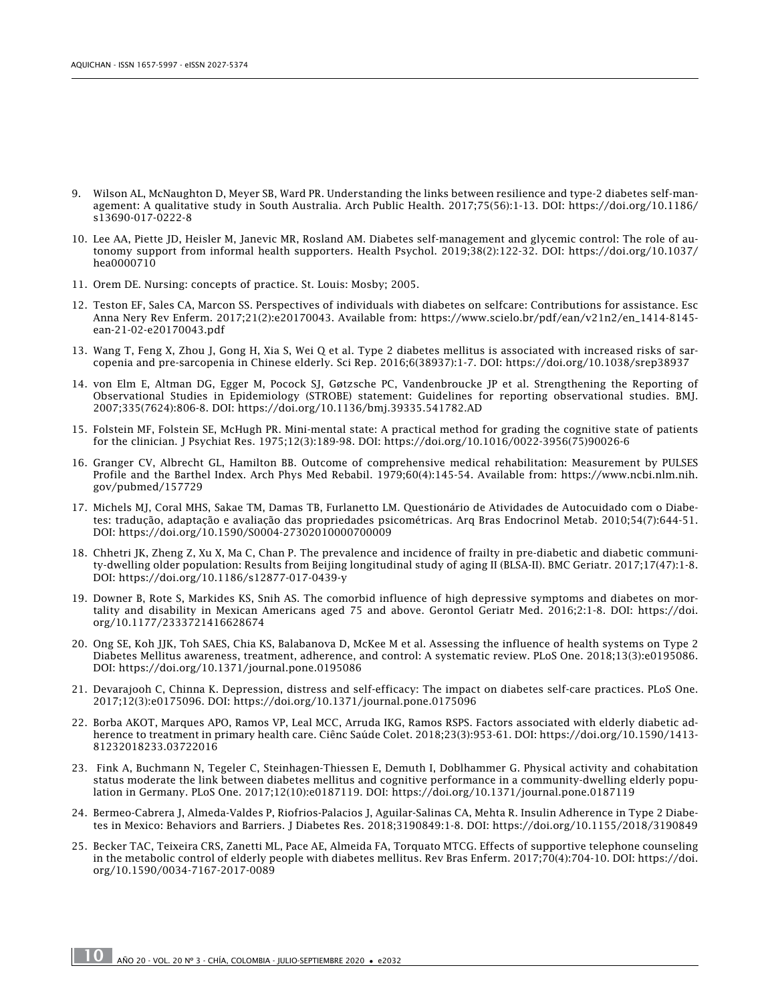- 9. Wilson AL, McNaughton D, Meyer SB, Ward PR. Understanding the links between resilience and type-2 diabetes self-management: A qualitative study in South Australia. Arch Public Health. 2017;75(56):1-13. DOI: [https://doi.org/10.1186/](https://doi.org/10.1186/s13690-017-0222-8) [s13690-017-0222-8](https://doi.org/10.1186/s13690-017-0222-8)
- 10. Lee AA, Piette JD, Heisler M, Janevic MR, Rosland AM. Diabetes self-management and glycemic control: The role of autonomy support from informal health supporters. Health Psychol. 2019;38(2):122-32. DOI: [https://doi.org/10.1037/](https://doi.org/10.1037/hea0000710) [hea0000710](https://doi.org/10.1037/hea0000710)
- 11. Orem DE. Nursing: concepts of practice. St. Louis: Mosby; 2005.
- 12. Teston EF, Sales CA, Marcon SS. Perspectives of individuals with diabetes on selfcare: Contributions for assistance. Esc Anna Nery Rev Enferm. 2017;21(2):e20170043. Available from: [https://www.scielo.br/pdf/ean/v21n2/en\\_1414-8145](https://www.scielo.br/pdf/ean/v21n2/en_1414-8145-ean-21-02-e20170043.pdf) [ean-21-02-e20170043.pdf](https://www.scielo.br/pdf/ean/v21n2/en_1414-8145-ean-21-02-e20170043.pdf)
- 13. Wang T, Feng X, Zhou J, Gong H, Xia S, Wei Q et al. Type 2 diabetes mellitus is associated with increased risks of sarcopenia and pre-sarcopenia in Chinese elderly. Sci Rep. 2016;6(38937):1-7. DOI:<https://doi.org/10.1038/srep38937>
- 14. von Elm E, Altman DG, Egger M, Pocock SJ, Gøtzsche PC, Vandenbroucke JP et al. Strengthening the Reporting of Observational Studies in Epidemiology (STROBE) statement: Guidelines for reporting observational studies. BMJ. 2007;335(7624):806-8. DOI:<https://doi.org/10.1136/bmj.39335.541782.AD>
- 15. Folstein MF, Folstein SE, McHugh PR. Mini-mental state: A practical method for grading the cognitive state of patients for the clinician. J Psychiat Res. 1975;12(3):189-98. DOI: [https://doi.org/10.1016/0022-3956\(75\)90026-6](https://doi.org/10.1016/0022-3956(75)90026-6)
- 16. Granger CV, Albrecht GL, Hamilton BB. Outcome of comprehensive medical rehabilitation: Measurement by PULSES Profile and the Barthel Index. Arch Phys Med Rebabil. 1979;60(4):145-54. Available from: [https://www.ncbi.nlm.nih.](https://www.ncbi.nlm.nih.gov/pubmed/157729) [gov/pubmed/157729](https://www.ncbi.nlm.nih.gov/pubmed/157729)
- 17. Michels MJ, Coral MHS, Sakae TM, Damas TB, Furlanetto LM. Questionário de Atividades de Autocuidado com o Diabetes: tradução, adaptação e avaliação das propriedades psicométricas. Arq Bras Endocrinol Metab. 2010;54(7):644-51. DOI:<https://doi.org/10.1590/S0004-27302010000700009>
- 18. Chhetri JK, Zheng Z, Xu X, Ma C, Chan P. The prevalence and incidence of frailty in pre-diabetic and diabetic community-dwelling older population: Results from Beijing longitudinal study of aging II (BLSA-II). BMC Geriatr. 2017;17(47):1-8. DOI:<https://doi.org/10.1186/s12877-017-0439-y>
- 19. Downer B, Rote S, Markides KS, Snih AS. The comorbid influence of high depressive symptoms and diabetes on mortality and disability in Mexican Americans aged 75 and above. Gerontol Geriatr Med. 2016;2:1-8. DOI: [https://doi.](https://doi.org/10.1177/2333721416628674) [org/10.1177/2333721416628674](https://doi.org/10.1177/2333721416628674)
- 20. Ong SE, Koh JJK, Toh SAES, Chia KS, Balabanova D, McKee M et al. Assessing the influence of health systems on Type 2 Diabetes Mellitus awareness, treatment, adherence, and control: A systematic review. PLoS One. 2018;13(3):e0195086. DOI:<https://doi.org/10.1371/journal.pone.0195086>
- 21. Devarajooh C, Chinna K. Depression, distress and self-efficacy: The impact on diabetes self-care practices. PLoS One. 2017;12(3):e0175096. DOI: https://doi.org/10.1371/journal.pone.0175096
- 22. Borba AKOT, Marques APO, Ramos VP, Leal MCC, Arruda IKG, Ramos RSPS. Factors associated with elderly diabetic adherence to treatment in primary health care. Ciênc Saúde Colet. 2018;23(3):953-61. DOI: [https://doi.org/10.1590/1413-](https://doi.org/10.1590/1413-81232018233.03722016) [81232018233.03722016](https://doi.org/10.1590/1413-81232018233.03722016)
- 23. Fink A, Buchmann N, Tegeler C, Steinhagen-Thiessen E, Demuth I, Doblhammer G. Physical activity and cohabitation status moderate the link between diabetes mellitus and cognitive performance in a community-dwelling elderly population in Germany. PLoS One. 2017;12(10):e0187119. DOI:<https://doi.org/10.1371/journal.pone.0187119>
- 24. Bermeo-Cabrera J, Almeda-Valdes P, Riofrios-Palacios J, Aguilar-Salinas CA, Mehta R. Insulin Adherence in Type 2 Diabetes in Mexico: Behaviors and Barriers. J Diabetes Res. 2018;3190849:1-8. DOI: <https://doi.org/10.1155/2018/3190849>
- 25. Becker TAC, Teixeira CRS, Zanetti ML, Pace AE, Almeida FA, Torquato MTCG. Effects of supportive telephone counseling in the metabolic control of elderly people with diabetes mellitus. Rev Bras Enferm. 2017;70(4):704-10. DOI: [https://doi.](https://doi.org/10.1590/0034-7167-2017-0089) [org/10.1590/0034-7167-2017-0089](https://doi.org/10.1590/0034-7167-2017-0089)